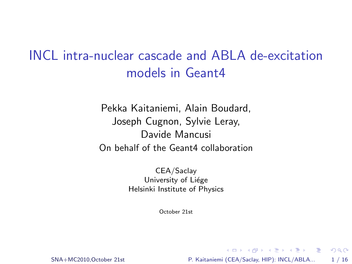# INCL intra-nuclear cascade and ABLA de-excitation models in Geant4

Pekka Kaitaniemi, Alain Boudard, Joseph Cugnon, Sylvie Leray, Davide Mancusi On behalf of the Geant4 collaboration

> CEA/Saclay University of Liége Helsinki Institute of Physics

> > <span id="page-0-0"></span>October 21st

SNA+MC2010,October 21st [P. Kaitaniemi \(CEA/Saclay, HIP\): INCL/ABLA...](#page-15-0) 1 / 16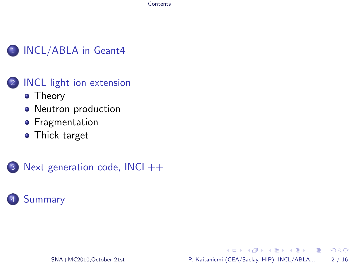#### **Contents**

#### 1 **INCL/ABLA** in Geant4

#### 2 [INCL light ion extension](#page-5-0)

- [Theory](#page-5-0)
- [Neutron production](#page-7-0)
- **•** [Fragmentation](#page-9-0)
- **•** [Thick target](#page-10-0)



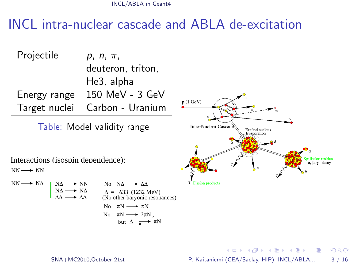<span id="page-2-0"></span>INCL/ABLA in Geant4

### INCL intra-nuclear cascade and ABLA de-excitation

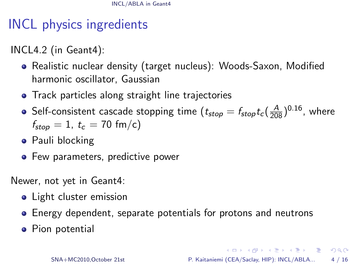# INCL physics ingredients

INCL4.2 (in Geant4):

- Realistic nuclear density (target nucleus): Woods-Saxon, Modified harmonic oscillator, Gaussian
- Track particles along straight line trajectories
- Self-consistent cascade stopping time  $(t_{stop} = f_{stop} t_c (\frac{A}{208})^{0.16})$ , where  $f_{stop} = 1, t_c = 70$  fm/c)
- Pauli blocking
- Few parameters, predictive power

Newer, not yet in Geant4:

- Light cluster emission
- Energy dependent, separate potentials for protons and neutrons
- Pion potential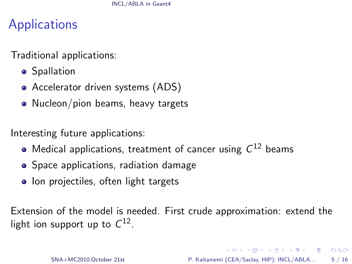# Applications

Traditional applications:

- **•** Spallation
- Accelerator driven systems (ADS)
- Nucleon/pion beams, heavy targets

Interesting future applications:

- Medical applications, treatment of cancer using  $C^{12}$  beams
- Space applications, radiation damage
- <span id="page-4-0"></span>• Ion projectiles, often light targets

Extension of the model is needed. First crude approximation: extend the light ion support up to  $C^{12}$ .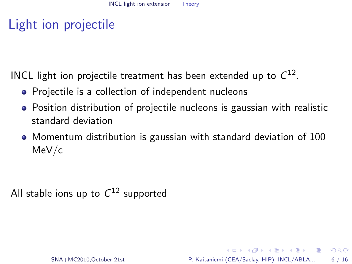# Light ion projectile

INCL light ion projectile treatment has been extended up to  $\mathcal{C}^{12}.$ 

- Projectile is a collection of independent nucleons
- Position distribution of projectile nucleons is gaussian with realistic standard deviation
- Momentum distribution is gaussian with standard deviation of 100 MeV/c

<span id="page-5-0"></span>All stable ions up to  $C^{12}$  supported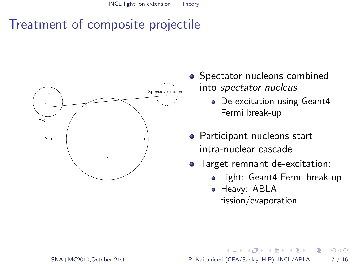# Treatment of composite projectile



- Spectator nucleons combined into spectator nucleus
	- De-excitation using Geant4 Fermi break-up
- **•** Participant nucleons start intra-nuclear cascade
- Target remnant de-excitation:
	- Light: Geant4 Fermi break-up
	- **Heavy: ABLA** fission/evaporation

<span id="page-6-0"></span> $\Omega$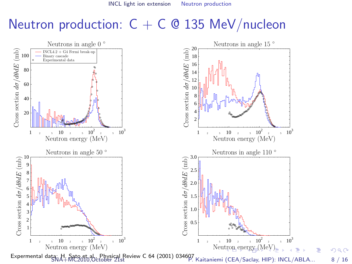<span id="page-7-0"></span>INCL light ion extension Neutron production

## Neutron production:  $C + C$  @ 135 MeV/nucleon

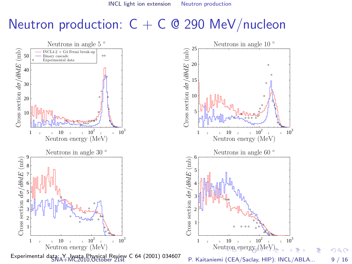<span id="page-8-0"></span>INCL light ion extension Neutron production

### Neutron production:  $C + C$  @ 290 MeV/nucleon

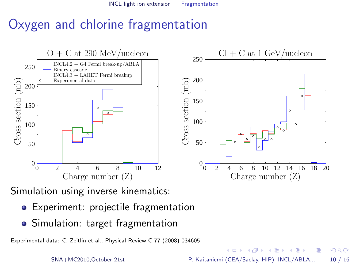INCL light ion extension Fragmentation

# Oxygen and chlorine fragmentation



Simulation using inverse kinematics:

- **•** Experiment: projectile fragmentation
- Simulation: target fragmentation

Experimental data: C. Zeitlin et al., Physical Review C 77 (2008) 034605

 $-1$   $-1$   $+$ 

医心室 医心室

<span id="page-9-0"></span> $\Omega$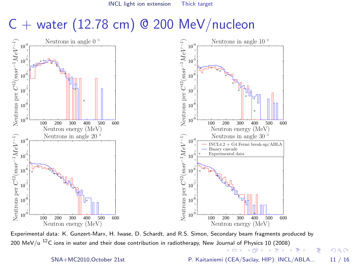INCL light ion extension Thick target

## $C +$  water (12.78 cm) @ 200 MeV/nucleon



Experimental data: K. Gunzert-Marx, H. Iwase, D. Schardt, and R.S. Simon, Secondary beam fragments produced by [20](#page-11-0)0 MeV/u  $^{12}$ C ions in water and their dose contribution in radiotherapy, New Jo[urna](#page-9-0)l [of](#page-11-0) [Ph](#page-9-0)[ysic](#page-10-0)[s](#page-11-0) [10](#page-9-0) [\(](#page-10-0)20[08](#page-12-0)[\)](#page-4-0)  $\left\{ \begin{array}{ccc} 1 & 0 & 0 \\ 0 & 1 & 0 \end{array} \right.$ 

SNA+MC2010, October 21st [P. Kaitaniemi \(CEA/Saclay, HIP\): INCL/ABLA...](#page-0-0) 11 / 16

<span id="page-10-0"></span> $\Omega$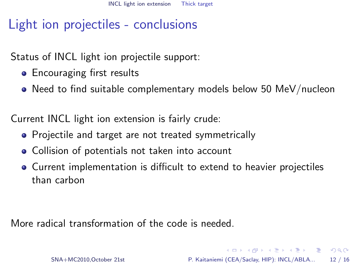# Light ion projectiles - conclusions

Status of INCL light ion projectile support:

- **•** Encouraging first results
- Need to find suitable complementary models below 50 MeV/nucleon

Current INCL light ion extension is fairly crude:

- Projectile and target are not treated symmetrically
- Collision of potentials not taken into account
- Current implementation is difficult to extend to heavier projectiles than carbon

<span id="page-11-0"></span>More radical transformation of the code is needed.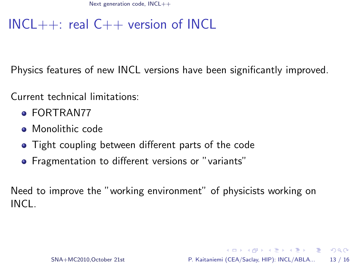Next generation code, INCL++

# $INCL++:$  real  $C++$  version of INCL

Physics features of new INCL versions have been significantly improved.

Current technical limitations:

- **FORTRAN77**
- Monolithic code
- Tight coupling between different parts of the code
- <span id="page-12-0"></span>Fragmentation to different versions or "variants"

Need to improve the "working environment" of physicists working on INCL.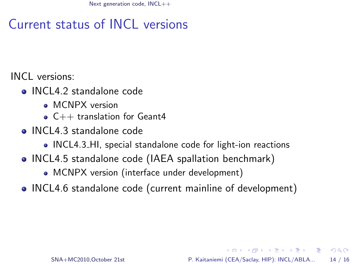Next generation code, INCL++

# Current status of INCL versions

INCL versions:

- INCL4.2 standalone code
	- **MCNPX** version
	- $\bullet$  C++ translation for Geant4
- INCL4.3 standalone code
	- INCL4.3 HI, special standalone code for light-ion reactions
- INCL4.5 standalone code (IAEA spallation benchmark)
	- MCNPX version (interface under development)
- INCL4.6 standalone code (current mainline of development)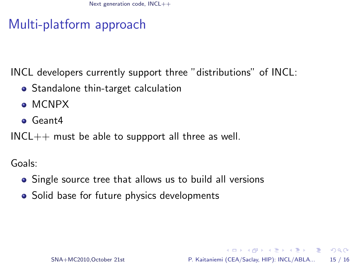# Multi-platform approach

INCL developers currently support three "distributions" of INCL:

- Standalone thin-target calculation
- o MCNPX
- **o** Geant4

 $INCL++$  must be able to suppport all three as well.

Goals:

- Single source tree that allows us to build all versions
- Solid base for future physics developments